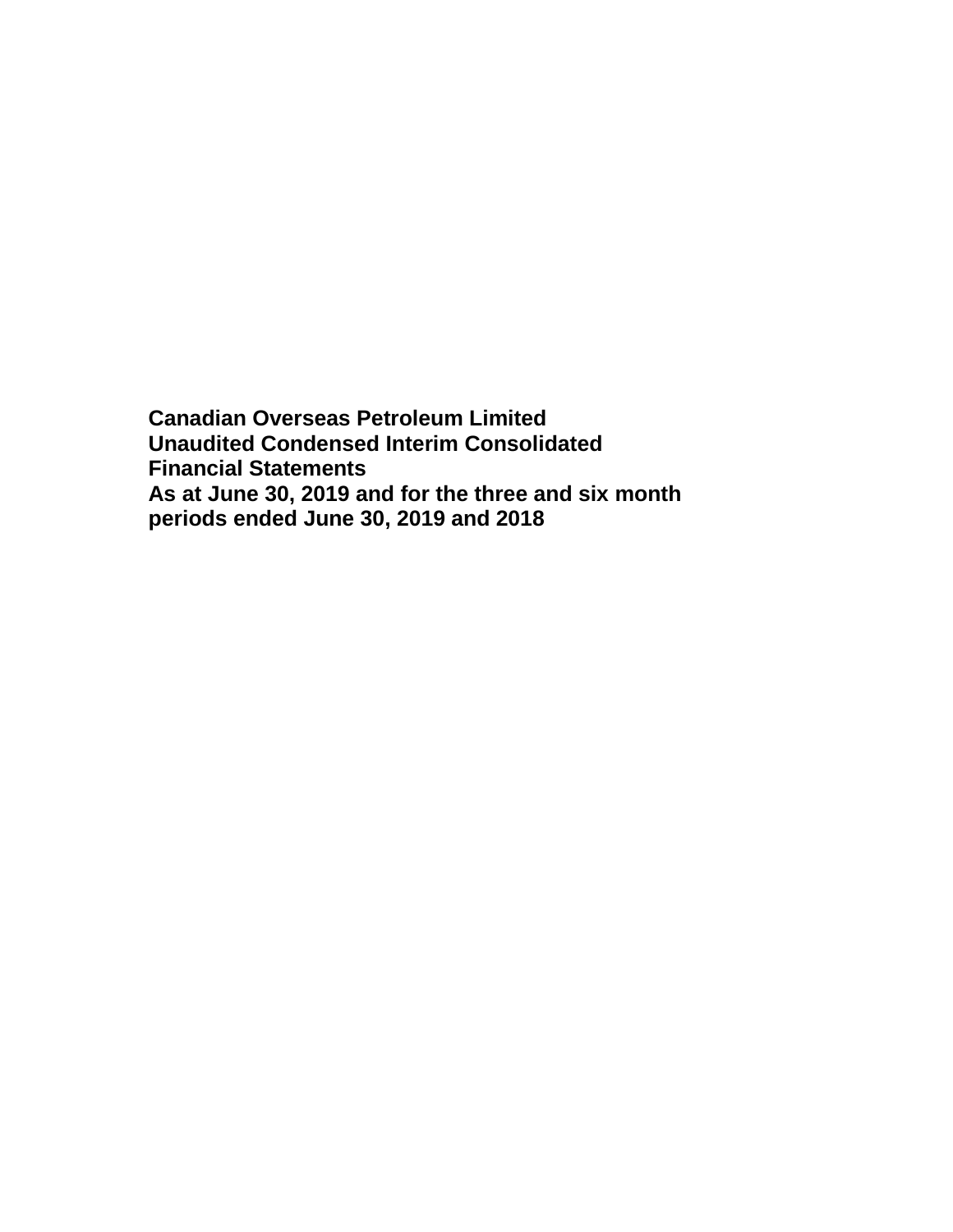**Canadian Overseas Petroleum Limited Unaudited Condensed Interim Consolidated Financial Statements As at June 30, 2019 and for the three and six month periods ended June 30, 2019 and 2018**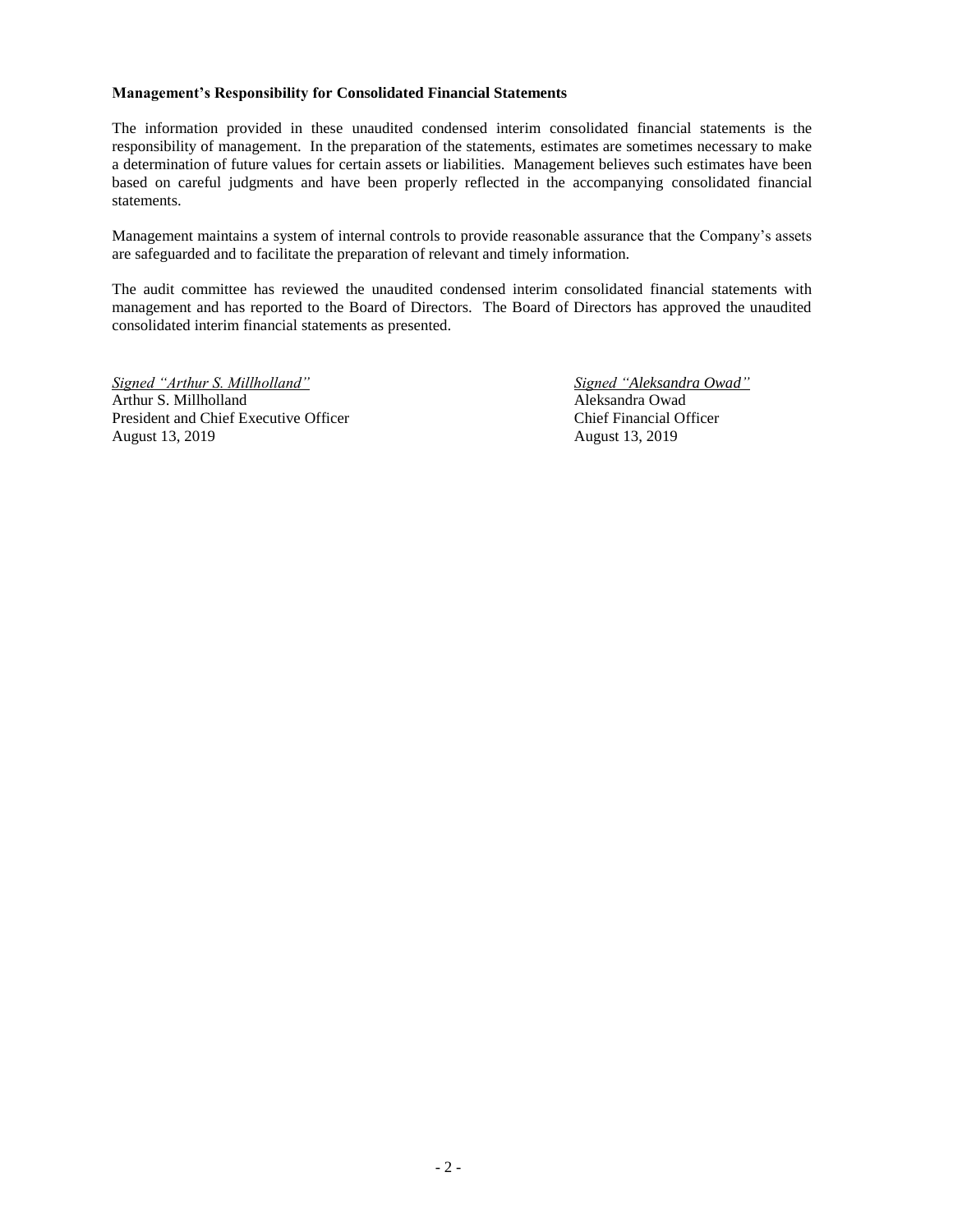#### **Management's Responsibility for Consolidated Financial Statements**

The information provided in these unaudited condensed interim consolidated financial statements is the responsibility of management. In the preparation of the statements, estimates are sometimes necessary to make a determination of future values for certain assets or liabilities. Management believes such estimates have been based on careful judgments and have been properly reflected in the accompanying consolidated financial statements.

Management maintains a system of internal controls to provide reasonable assurance that the Company's assets are safeguarded and to facilitate the preparation of relevant and timely information.

The audit committee has reviewed the unaudited condensed interim consolidated financial statements with management and has reported to the Board of Directors. The Board of Directors has approved the unaudited consolidated interim financial statements as presented.

*Signed "Arthur S. Millholland" Signed "Aleksandra Owad"* Arthur S. Millholland Aleksandra Owad President and Chief Executive Officer Chief Financial Officer August 13, 2019 August 13, 2019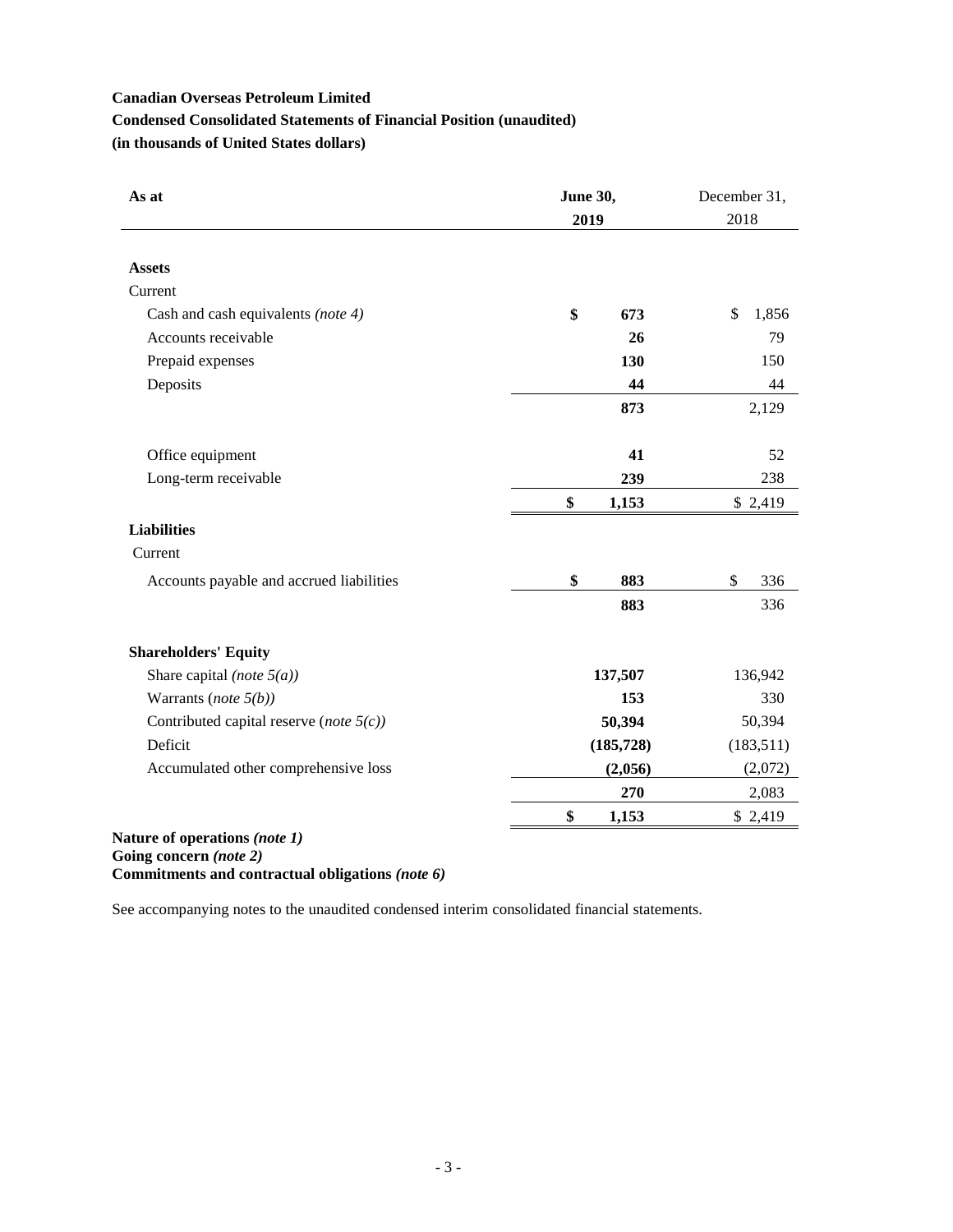# **Condensed Consolidated Statements of Financial Position (unaudited)**

**(in thousands of United States dollars)**

| As at                                      | <b>June 30,</b><br>2019 | December 31,<br>2018 |
|--------------------------------------------|-------------------------|----------------------|
| <b>Assets</b>                              |                         |                      |
| Current                                    |                         |                      |
| Cash and cash equivalents (note 4)         | \$<br>673               | \$<br>1,856          |
| Accounts receivable                        | 26                      | 79                   |
| Prepaid expenses                           | 130                     | 150                  |
| Deposits                                   | 44                      | 44                   |
|                                            | 873                     | 2,129                |
| Office equipment                           | 41                      | 52                   |
| Long-term receivable                       | 239                     | 238                  |
|                                            | \$<br>1,153             | \$2,419              |
| <b>Liabilities</b>                         |                         |                      |
| Current                                    |                         |                      |
| Accounts payable and accrued liabilities   | \$<br>883               | \$<br>336            |
|                                            | 883                     | 336                  |
| <b>Shareholders' Equity</b>                |                         |                      |
| Share capital (note $5(a)$ )               | 137,507                 | 136,942              |
| Warrants (note $5(b)$ )                    | 153                     | 330                  |
| Contributed capital reserve (note $5(c)$ ) | 50,394                  | 50,394               |
| Deficit                                    | (185, 728)              | (183,511)            |
| Accumulated other comprehensive loss       | (2,056)                 | (2,072)              |
|                                            | 270                     | 2,083                |
|                                            | \$<br>1,153             | \$2,419              |

**Going concern** *(note 2)* **Commitments and contractual obligations** *(note 6)*

See accompanying notes to the unaudited condensed interim consolidated financial statements.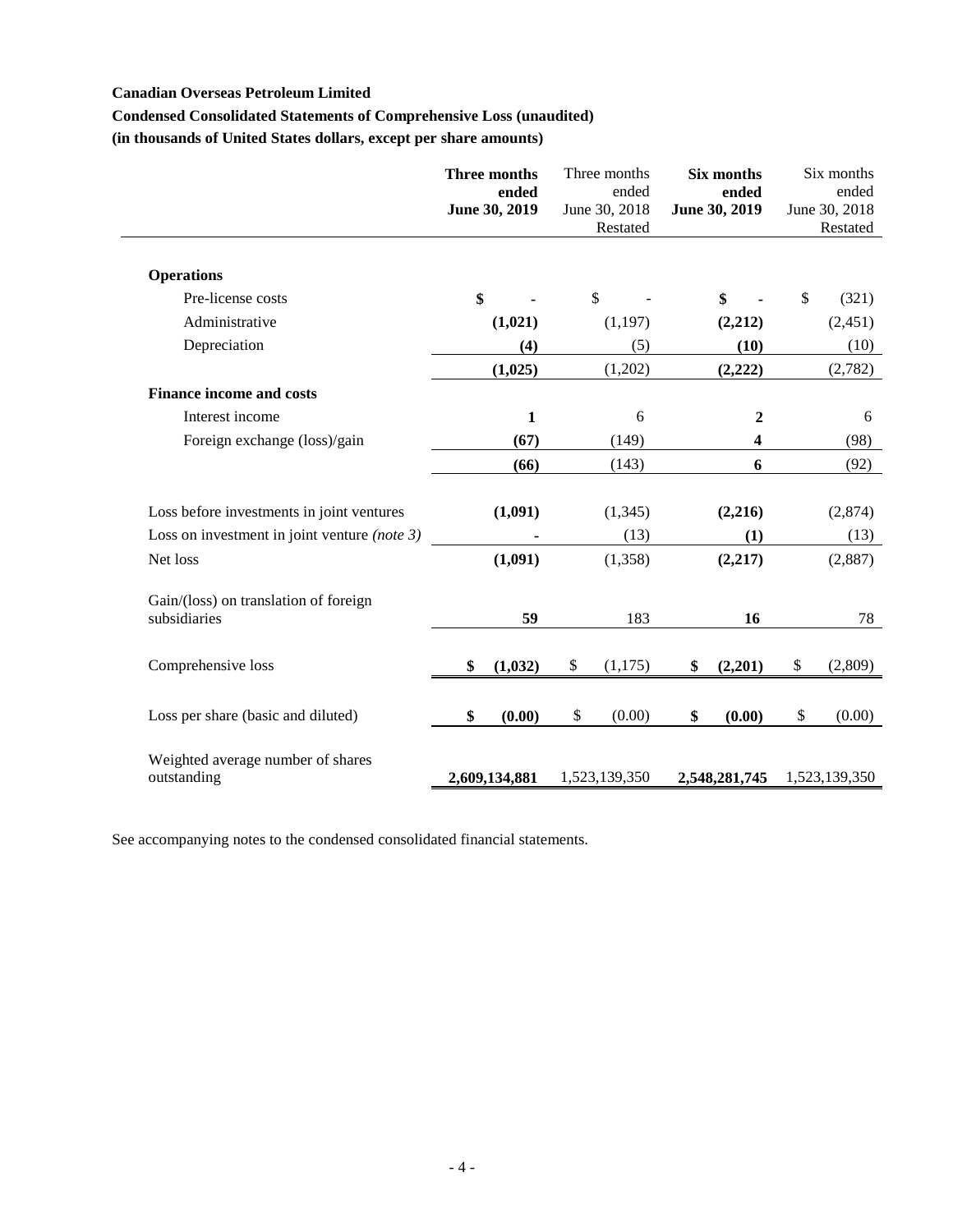# **Condensed Consolidated Statements of Comprehensive Loss (unaudited)**

**(in thousands of United States dollars, except per share amounts)**

|                                                       | Three months<br>ended<br>June 30, 2019 | Three months<br>ended<br>June 30, 2018<br>Restated | Six months<br>ended<br>June 30, 2019 | Six months<br>ended<br>June 30, 2018<br>Restated |
|-------------------------------------------------------|----------------------------------------|----------------------------------------------------|--------------------------------------|--------------------------------------------------|
| <b>Operations</b>                                     |                                        |                                                    |                                      |                                                  |
| Pre-license costs                                     | \$                                     | \$                                                 | \$                                   | $\mathbb{S}$<br>(321)                            |
| Administrative                                        | (1,021)                                | (1, 197)                                           | (2,212)                              | (2,451)                                          |
| Depreciation                                          | (4)                                    | (5)                                                | (10)                                 | (10)                                             |
|                                                       | (1,025)                                | (1,202)                                            | (2,222)                              | (2,782)                                          |
| <b>Finance income and costs</b>                       |                                        |                                                    |                                      |                                                  |
| Interest income                                       | $\mathbf{1}$                           | 6                                                  | $\boldsymbol{2}$                     | 6                                                |
| Foreign exchange (loss)/gain                          | (67)                                   | (149)                                              | 4                                    | (98)                                             |
|                                                       | (66)                                   | (143)                                              | 6                                    | (92)                                             |
| Loss before investments in joint ventures             | (1,091)                                | (1, 345)                                           | (2,216)                              | (2,874)                                          |
| Loss on investment in joint venture (note $3$ )       |                                        | (13)                                               | (1)                                  | (13)                                             |
| Net loss                                              | (1,091)                                | (1,358)                                            | (2,217)                              | (2,887)                                          |
| Gain/(loss) on translation of foreign<br>subsidiaries | 59                                     | 183                                                | 16                                   | 78                                               |
| Comprehensive loss                                    | (1,032)<br>\$                          | \$<br>(1,175)                                      | (2,201)<br>\$                        | \$<br>(2,809)                                    |
| Loss per share (basic and diluted)                    | (0.00)<br>\$                           | (0.00)<br>\$                                       | (0.00)<br>\$                         | \$<br>(0.00)                                     |
| Weighted average number of shares<br>outstanding      | 2,609,134,881                          | 1,523,139,350                                      | 2,548,281,745                        | 1,523,139,350                                    |

See accompanying notes to the condensed consolidated financial statements.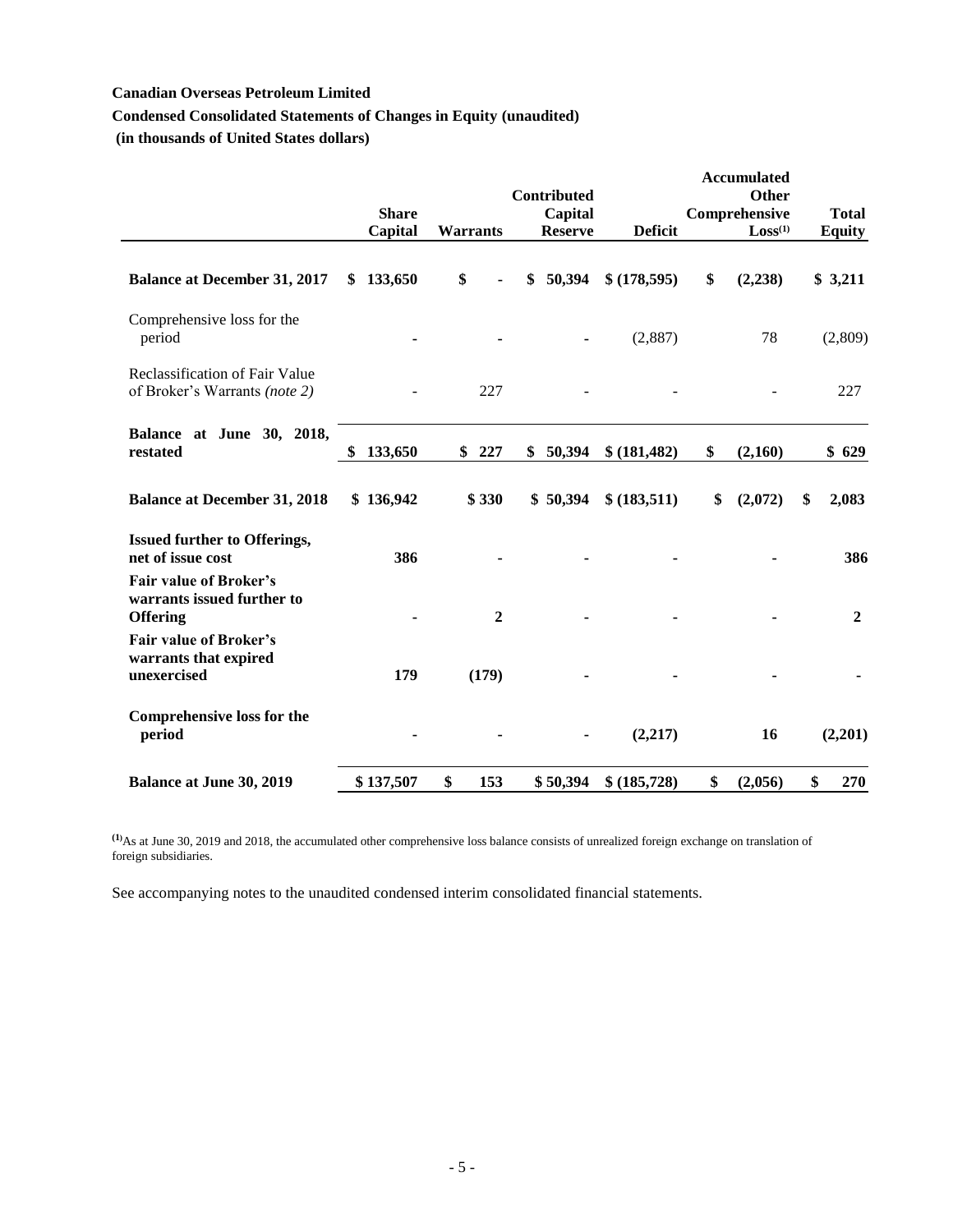# **Condensed Consolidated Statements of Changes in Equity (unaudited)**

**(in thousands of United States dollars)**

|                                                                                | <b>Share</b><br>Capital | <b>Warrants</b> | Contributed<br>Capital<br><b>Reserve</b> | <b>Deficit</b> | <b>Accumulated</b><br><b>Other</b><br>Comprehensive<br>Loss <sup>(1)</sup> | <b>Total</b><br><b>Equity</b> |
|--------------------------------------------------------------------------------|-------------------------|-----------------|------------------------------------------|----------------|----------------------------------------------------------------------------|-------------------------------|
| <b>Balance at December 31, 2017</b>                                            | 133,650<br>SS.          | \$              | 50,394<br>S                              | \$(178,595)    | \$<br>(2, 238)                                                             | \$3,211                       |
| Comprehensive loss for the<br>period                                           |                         |                 |                                          | (2,887)        | 78                                                                         | (2,809)                       |
| Reclassification of Fair Value<br>of Broker's Warrants (note 2)                |                         | 227             |                                          |                |                                                                            | 227                           |
| Balance at June 30, 2018,<br>restated                                          | \$<br>133,650           | 227<br>\$       | 50,394<br>\$                             | \$ (181,482)   | \$<br>(2,160)                                                              | \$629                         |
| <b>Balance at December 31, 2018</b>                                            | \$136,942               | \$330           | \$50,394                                 | \$ (183,511)   | \$<br>(2,072)                                                              | 2,083<br>\$                   |
| <b>Issued further to Offerings,</b><br>net of issue cost                       | 386                     |                 |                                          |                |                                                                            | 386                           |
| <b>Fair value of Broker's</b><br>warrants issued further to<br><b>Offering</b> |                         | $\overline{2}$  |                                          |                |                                                                            | $\boldsymbol{2}$              |
| <b>Fair value of Broker's</b><br>warrants that expired<br>unexercised          | 179                     | (179)           |                                          |                |                                                                            |                               |
| <b>Comprehensive loss for the</b><br>period                                    |                         |                 |                                          | (2,217)        | 16                                                                         | (2,201)                       |
| <b>Balance at June 30, 2019</b>                                                | \$137,507               | \$<br>153       | \$50,394                                 | \$ (185,728)   | \$<br>(2,056)                                                              | \$<br>270                     |

**(1)**As at June 30, 2019 and 2018, the accumulated other comprehensive loss balance consists of unrealized foreign exchange on translation of foreign subsidiaries.

See accompanying notes to the unaudited condensed interim consolidated financial statements.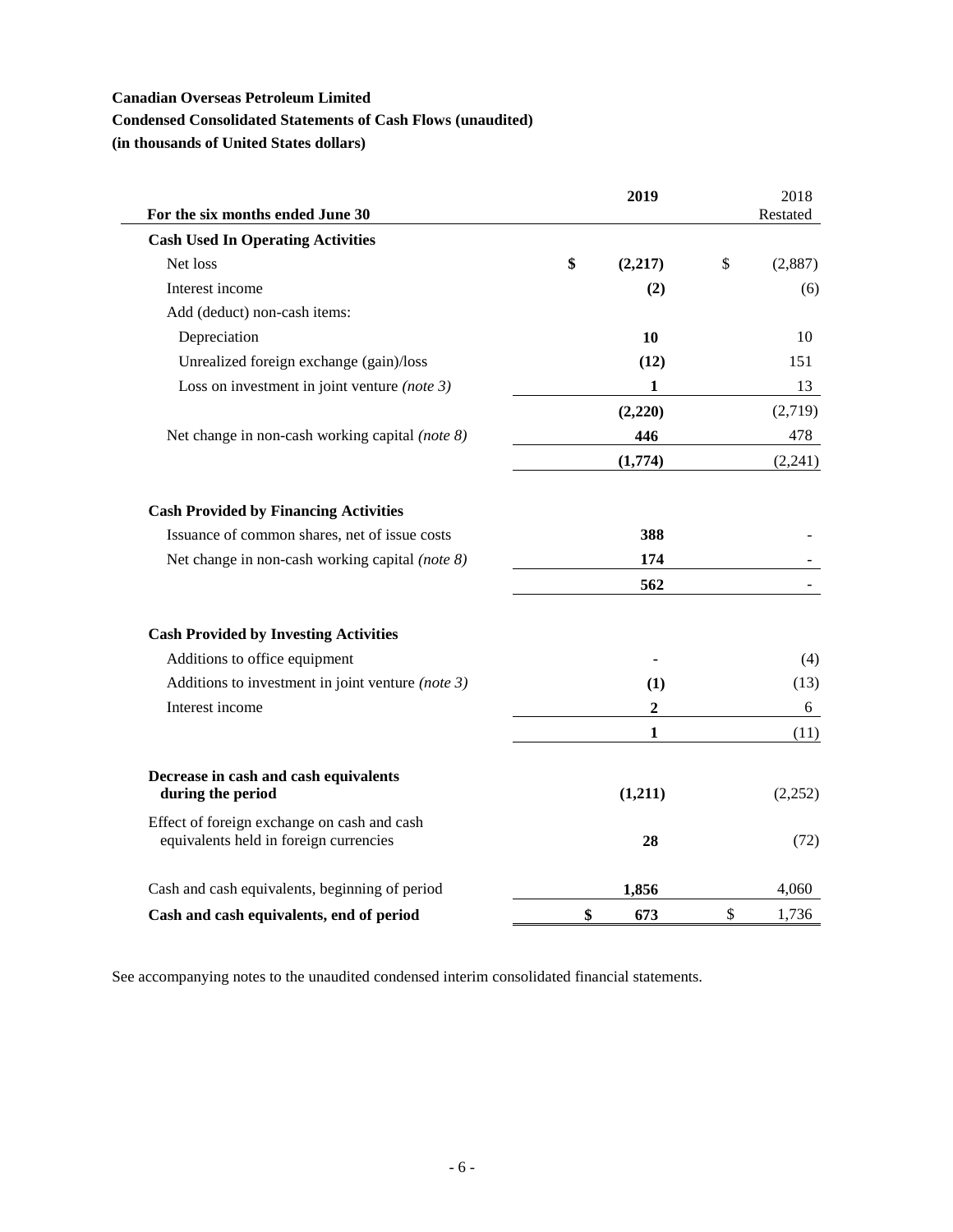# **Condensed Consolidated Statements of Cash Flows (unaudited)**

**(in thousands of United States dollars)**

| For the six months ended June 30                                                      | 2019          | 2018<br>Restated |
|---------------------------------------------------------------------------------------|---------------|------------------|
| <b>Cash Used In Operating Activities</b>                                              |               |                  |
| Net loss                                                                              | \$<br>(2,217) | \$<br>(2,887)    |
| Interest income                                                                       | (2)           | (6)              |
| Add (deduct) non-cash items:                                                          |               |                  |
| Depreciation                                                                          | 10            | 10               |
| Unrealized foreign exchange (gain)/loss                                               | (12)          | 151              |
| Loss on investment in joint venture (note $3$ )                                       | $\mathbf{1}$  | 13               |
|                                                                                       | (2,220)       | (2,719)          |
| Net change in non-cash working capital (note 8)                                       | 446           | 478              |
|                                                                                       | (1,774)       | (2,241)          |
| <b>Cash Provided by Financing Activities</b>                                          |               |                  |
| Issuance of common shares, net of issue costs                                         | 388           |                  |
| Net change in non-cash working capital (note 8)                                       | 174           |                  |
|                                                                                       | 562           |                  |
| <b>Cash Provided by Investing Activities</b>                                          |               |                  |
| Additions to office equipment                                                         |               | (4)              |
| Additions to investment in joint venture (note $3$ )                                  | (1)           | (13)             |
| Interest income                                                                       | 2             | 6                |
|                                                                                       | $\mathbf{1}$  | (11)             |
| Decrease in cash and cash equivalents<br>during the period                            | (1,211)       | (2,252)          |
| Effect of foreign exchange on cash and cash<br>equivalents held in foreign currencies | 28            | (72)             |
| Cash and cash equivalents, beginning of period                                        | 1,856         | 4,060            |
| Cash and cash equivalents, end of period                                              | \$<br>673     | \$<br>1,736      |

See accompanying notes to the unaudited condensed interim consolidated financial statements.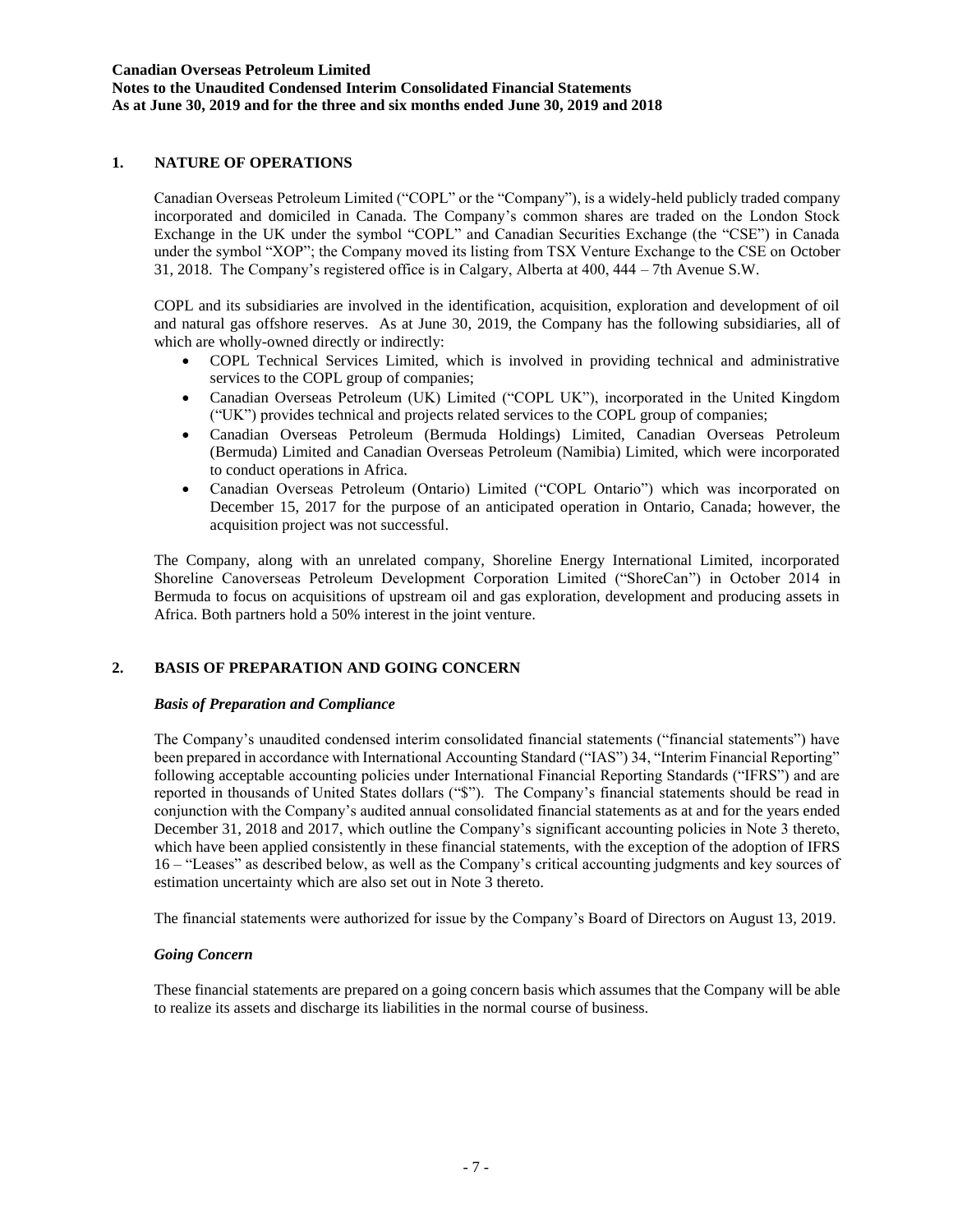# **1. NATURE OF OPERATIONS**

Canadian Overseas Petroleum Limited ("COPL" or the "Company"), is a widely-held publicly traded company incorporated and domiciled in Canada. The Company's common shares are traded on the London Stock Exchange in the UK under the symbol "COPL" and Canadian Securities Exchange (the "CSE") in Canada under the symbol "XOP"; the Company moved its listing from TSX Venture Exchange to the CSE on October 31, 2018. The Company's registered office is in Calgary, Alberta at 400, 444 – 7th Avenue S.W.

COPL and its subsidiaries are involved in the identification, acquisition, exploration and development of oil and natural gas offshore reserves. As at June 30, 2019, the Company has the following subsidiaries, all of which are wholly-owned directly or indirectly:

- COPL Technical Services Limited, which is involved in providing technical and administrative services to the COPL group of companies;
- Canadian Overseas Petroleum (UK) Limited ("COPL UK"), incorporated in the United Kingdom ("UK") provides technical and projects related services to the COPL group of companies;
- Canadian Overseas Petroleum (Bermuda Holdings) Limited, Canadian Overseas Petroleum (Bermuda) Limited and Canadian Overseas Petroleum (Namibia) Limited, which were incorporated to conduct operations in Africa.
- Canadian Overseas Petroleum (Ontario) Limited ("COPL Ontario") which was incorporated on December 15, 2017 for the purpose of an anticipated operation in Ontario, Canada; however, the acquisition project was not successful.

The Company, along with an unrelated company, Shoreline Energy International Limited, incorporated Shoreline Canoverseas Petroleum Development Corporation Limited ("ShoreCan") in October 2014 in Bermuda to focus on acquisitions of upstream oil and gas exploration, development and producing assets in Africa. Both partners hold a 50% interest in the joint venture.

### **2. BASIS OF PREPARATION AND GOING CONCERN**

#### *Basis of Preparation and Compliance*

The Company's unaudited condensed interim consolidated financial statements ("financial statements") have been prepared in accordance with International Accounting Standard ("IAS") 34, "Interim Financial Reporting" following acceptable accounting policies under International Financial Reporting Standards ("IFRS") and are reported in thousands of United States dollars ("\$"). The Company's financial statements should be read in conjunction with the Company's audited annual consolidated financial statements as at and for the years ended December 31, 2018 and 2017, which outline the Company's significant accounting policies in Note 3 thereto, which have been applied consistently in these financial statements, with the exception of the adoption of IFRS 16 – "Leases" as described below, as well as the Company's critical accounting judgments and key sources of estimation uncertainty which are also set out in Note 3 thereto.

The financial statements were authorized for issue by the Company's Board of Directors on August 13, 2019.

#### *Going Concern*

These financial statements are prepared on a going concern basis which assumes that the Company will be able to realize its assets and discharge its liabilities in the normal course of business.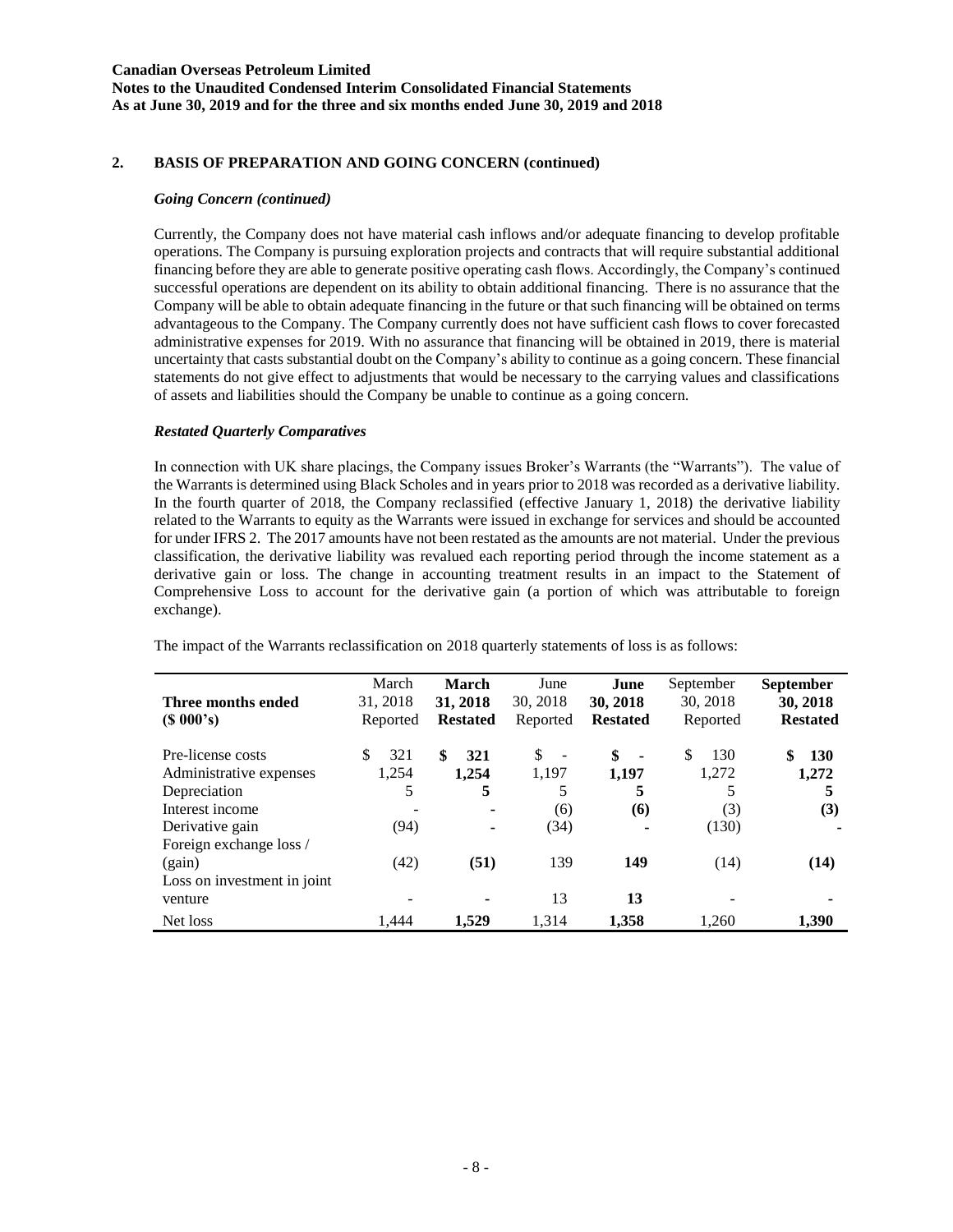#### **Canadian Overseas Petroleum Limited Notes to the Unaudited Condensed Interim Consolidated Financial Statements As at June 30, 2019 and for the three and six months ended June 30, 2019 and 2018**

# **2. BASIS OF PREPARATION AND GOING CONCERN (continued)**

#### *Going Concern (continued)*

Currently, the Company does not have material cash inflows and/or adequate financing to develop profitable operations. The Company is pursuing exploration projects and contracts that will require substantial additional financing before they are able to generate positive operating cash flows. Accordingly, the Company's continued successful operations are dependent on its ability to obtain additional financing. There is no assurance that the Company will be able to obtain adequate financing in the future or that such financing will be obtained on terms advantageous to the Company. The Company currently does not have sufficient cash flows to cover forecasted administrative expenses for 2019. With no assurance that financing will be obtained in 2019, there is material uncertainty that casts substantial doubt on the Company's ability to continue as a going concern. These financial statements do not give effect to adjustments that would be necessary to the carrying values and classifications of assets and liabilities should the Company be unable to continue as a going concern.

### *Restated Quarterly Comparatives*

In connection with UK share placings, the Company issues Broker's Warrants (the "Warrants"). The value of the Warrants is determined using Black Scholes and in years prior to 2018 was recorded as a derivative liability. In the fourth quarter of 2018, the Company reclassified (effective January 1, 2018) the derivative liability related to the Warrants to equity as the Warrants were issued in exchange for services and should be accounted for under IFRS 2. The 2017 amounts have not been restated as the amounts are not material. Under the previous classification, the derivative liability was revalued each reporting period through the income statement as a derivative gain or loss. The change in accounting treatment results in an impact to the Statement of Comprehensive Loss to account for the derivative gain (a portion of which was attributable to foreign exchange).

| Three months ended<br>(S 000's) | March<br>31, 2018<br>Reported | <b>March</b><br>31, 2018<br><b>Restated</b> | June<br>30, 2018<br>Reported   | June<br>30, 2018<br><b>Restated</b> | September<br>30, 2018<br>Reported | <b>September</b><br>30, 2018<br><b>Restated</b> |
|---------------------------------|-------------------------------|---------------------------------------------|--------------------------------|-------------------------------------|-----------------------------------|-------------------------------------------------|
| Pre-license costs               | 321<br>\$                     | S<br>321                                    | \$<br>$\overline{\phantom{a}}$ | \$<br>$\blacksquare$                | \$<br>130                         | \$<br><b>130</b>                                |
| Administrative expenses         | 1,254                         | 1,254                                       | 1,197                          | 1,197                               | 1,272                             | 1,272                                           |
| Depreciation                    | 5                             | 5                                           | 5                              | 5                                   | 5                                 | 5                                               |
| Interest income                 |                               | ٠                                           | (6)                            | <b>(6)</b>                          | (3)                               | (3)                                             |
| Derivative gain                 | (94)                          | ٠                                           | (34)                           |                                     | (130)                             |                                                 |
| Foreign exchange loss /         |                               |                                             |                                |                                     |                                   |                                                 |
| (gain)                          | (42)                          | (51)                                        | 139                            | 149                                 | (14)                              | (14)                                            |
| Loss on investment in joint     |                               |                                             |                                |                                     |                                   |                                                 |
| venture                         |                               |                                             | 13                             | 13                                  |                                   |                                                 |
| Net loss                        | 1.444                         | 1.529                                       | 1.314                          | 1.358                               | 1.260                             | 1,390                                           |

The impact of the Warrants reclassification on 2018 quarterly statements of loss is as follows: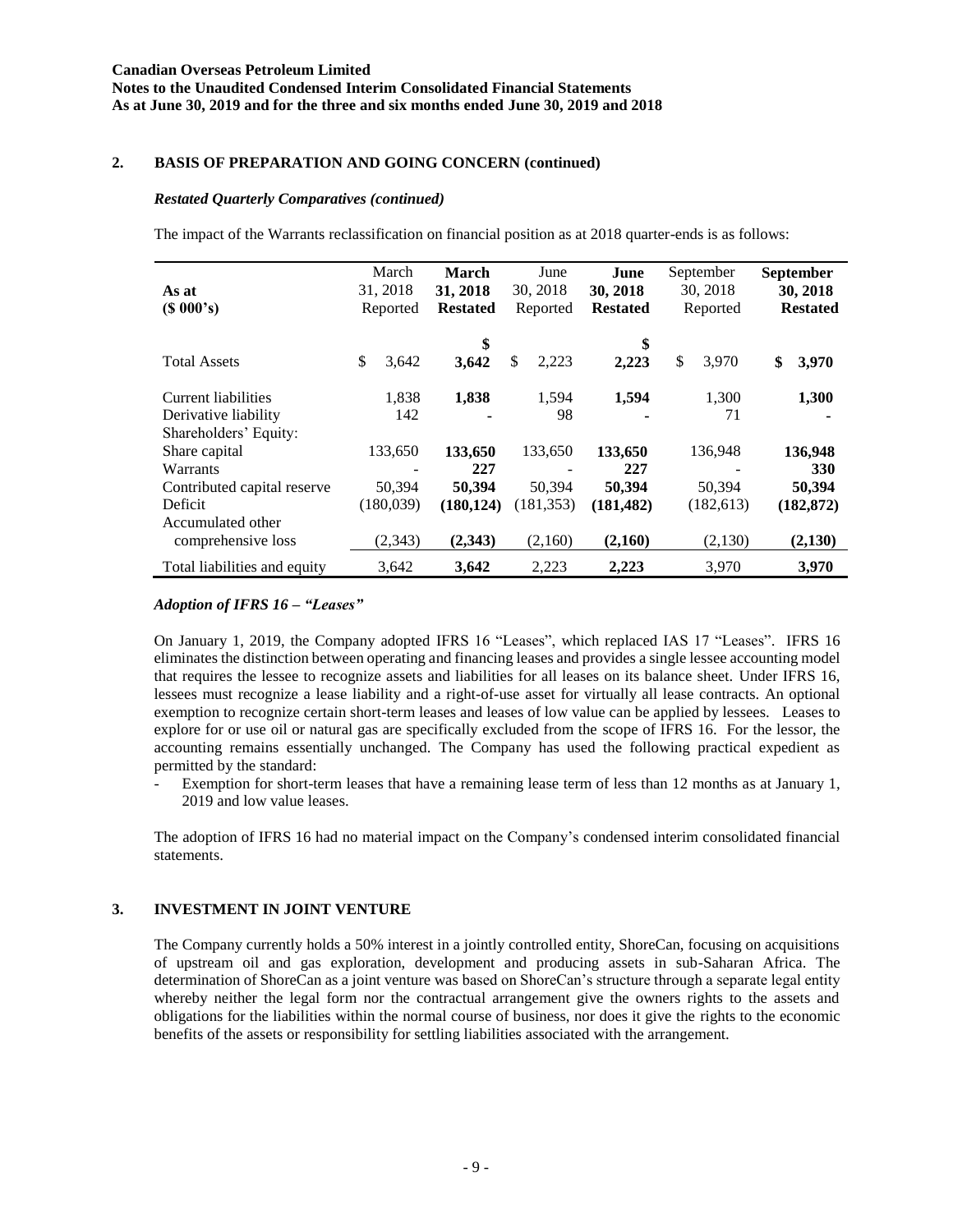### **Canadian Overseas Petroleum Limited Notes to the Unaudited Condensed Interim Consolidated Financial Statements As at June 30, 2019 and for the three and six months ended June 30, 2019 and 2018**

### **2. BASIS OF PREPARATION AND GOING CONCERN (continued)**

#### *Restated Quarterly Comparatives (continued)*

The impact of the Warrants reclassification on financial position as at 2018 quarter-ends is as follows:

| As at<br>(S 000's)                            | March<br>31, 2018<br>Reported | <b>March</b><br>31, 2018<br><b>Restated</b> |             | June<br>30, 2018<br>Reported | 30, 2018<br><b>Restated</b> | June        | September<br>30, 2018<br>Reported | September<br>30, 2018<br><b>Restated</b> |
|-----------------------------------------------|-------------------------------|---------------------------------------------|-------------|------------------------------|-----------------------------|-------------|-----------------------------------|------------------------------------------|
| <b>Total Assets</b>                           | \$<br>3,642                   |                                             | \$<br>3,642 | \$<br>2,223                  |                             | \$<br>2,223 | \$<br>3,970                       | \$<br>3,970                              |
| Current liabilities                           | 1,838                         |                                             | 1,838       | 1,594                        |                             | 1,594       | 1,300                             | 1,300                                    |
| Derivative liability<br>Shareholders' Equity: | 142                           |                                             |             | 98                           |                             |             | 71                                |                                          |
| Share capital                                 | 133,650                       | 133,650                                     |             | 133,650                      | 133,650                     |             | 136,948                           | 136,948                                  |
| Warrants                                      |                               |                                             | 227         |                              |                             | 227         |                                   | 330                                      |
| Contributed capital reserve                   | 50,394                        |                                             | 50,394      | 50,394                       | 50,394                      |             | 50,394                            | 50,394                                   |
| Deficit                                       | (180,039)                     |                                             | (180, 124)  | (181, 353)                   | (181, 482)                  |             | (182, 613)                        | (182, 872)                               |
| Accumulated other                             |                               |                                             |             |                              |                             |             |                                   |                                          |
| comprehensive loss                            | (2, 343)                      |                                             | (2,343)     | (2,160)                      | (2,160)                     |             | (2,130)                           | (2,130)                                  |
| Total liabilities and equity                  | 3,642                         |                                             | 3.642       | 2,223                        | 2,223                       |             | 3,970                             | 3,970                                    |

# *Adoption of IFRS 16 – "Leases"*

On January 1, 2019, the Company adopted IFRS 16 "Leases", which replaced IAS 17 "Leases". IFRS 16 eliminates the distinction between operating and financing leases and provides a single lessee accounting model that requires the lessee to recognize assets and liabilities for all leases on its balance sheet. Under IFRS 16, lessees must recognize a lease liability and a right-of-use asset for virtually all lease contracts. An optional exemption to recognize certain short-term leases and leases of low value can be applied by lessees. Leases to explore for or use oil or natural gas are specifically excluded from the scope of IFRS 16. For the lessor, the accounting remains essentially unchanged. The Company has used the following practical expedient as permitted by the standard:

Exemption for short-term leases that have a remaining lease term of less than 12 months as at January 1, 2019 and low value leases.

The adoption of IFRS 16 had no material impact on the Company's condensed interim consolidated financial statements.

### **3. INVESTMENT IN JOINT VENTURE**

The Company currently holds a 50% interest in a jointly controlled entity, ShoreCan, focusing on acquisitions of upstream oil and gas exploration, development and producing assets in sub-Saharan Africa. The determination of ShoreCan as a joint venture was based on ShoreCan's structure through a separate legal entity whereby neither the legal form nor the contractual arrangement give the owners rights to the assets and obligations for the liabilities within the normal course of business, nor does it give the rights to the economic benefits of the assets or responsibility for settling liabilities associated with the arrangement.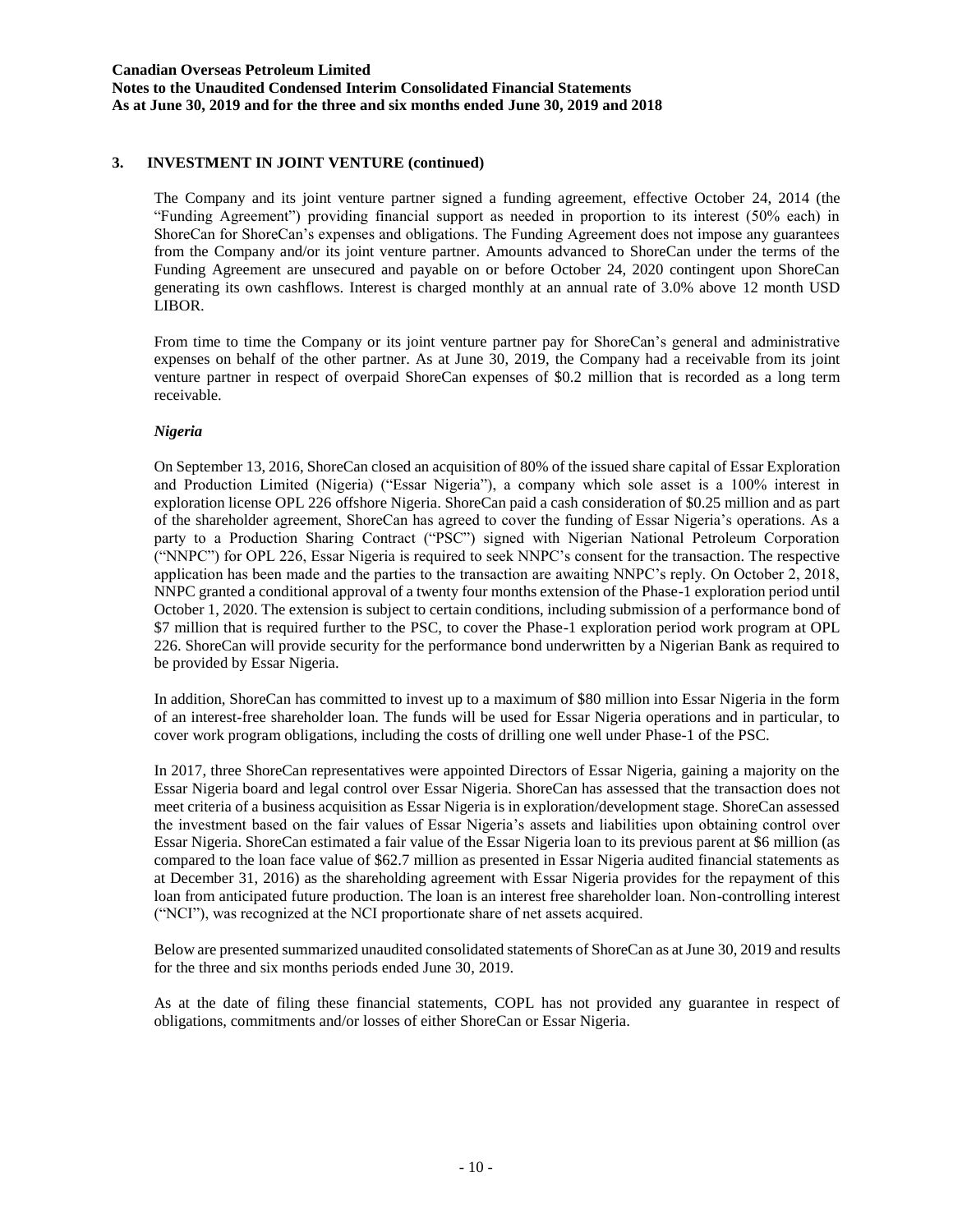**Notes to the Unaudited Condensed Interim Consolidated Financial Statements As at June 30, 2019 and for the three and six months ended June 30, 2019 and 2018**

## **3. INVESTMENT IN JOINT VENTURE (continued)**

The Company and its joint venture partner signed a funding agreement, effective October 24, 2014 (the "Funding Agreement") providing financial support as needed in proportion to its interest (50% each) in ShoreCan for ShoreCan's expenses and obligations. The Funding Agreement does not impose any guarantees from the Company and/or its joint venture partner. Amounts advanced to ShoreCan under the terms of the Funding Agreement are unsecured and payable on or before October 24, 2020 contingent upon ShoreCan generating its own cashflows. Interest is charged monthly at an annual rate of 3.0% above 12 month USD LIBOR.

From time to time the Company or its joint venture partner pay for ShoreCan's general and administrative expenses on behalf of the other partner. As at June 30, 2019, the Company had a receivable from its joint venture partner in respect of overpaid ShoreCan expenses of \$0.2 million that is recorded as a long term receivable.

#### *Nigeria*

On September 13, 2016, ShoreCan closed an acquisition of 80% of the issued share capital of Essar Exploration and Production Limited (Nigeria) ("Essar Nigeria"), a company which sole asset is a 100% interest in exploration license OPL 226 offshore Nigeria. ShoreCan paid a cash consideration of \$0.25 million and as part of the shareholder agreement, ShoreCan has agreed to cover the funding of Essar Nigeria's operations. As a party to a Production Sharing Contract ("PSC") signed with Nigerian National Petroleum Corporation ("NNPC") for OPL 226, Essar Nigeria is required to seek NNPC's consent for the transaction. The respective application has been made and the parties to the transaction are awaiting NNPC's reply. On October 2, 2018, NNPC granted a conditional approval of a twenty four months extension of the Phase-1 exploration period until October 1, 2020. The extension is subject to certain conditions, including submission of a performance bond of \$7 million that is required further to the PSC, to cover the Phase-1 exploration period work program at OPL 226. ShoreCan will provide security for the performance bond underwritten by a Nigerian Bank as required to be provided by Essar Nigeria.

In addition, ShoreCan has committed to invest up to a maximum of \$80 million into Essar Nigeria in the form of an interest-free shareholder loan. The funds will be used for Essar Nigeria operations and in particular, to cover work program obligations, including the costs of drilling one well under Phase-1 of the PSC.

In 2017, three ShoreCan representatives were appointed Directors of Essar Nigeria, gaining a majority on the Essar Nigeria board and legal control over Essar Nigeria. ShoreCan has assessed that the transaction does not meet criteria of a business acquisition as Essar Nigeria is in exploration/development stage. ShoreCan assessed the investment based on the fair values of Essar Nigeria's assets and liabilities upon obtaining control over Essar Nigeria. ShoreCan estimated a fair value of the Essar Nigeria loan to its previous parent at \$6 million (as compared to the loan face value of \$62.7 million as presented in Essar Nigeria audited financial statements as at December 31, 2016) as the shareholding agreement with Essar Nigeria provides for the repayment of this loan from anticipated future production. The loan is an interest free shareholder loan. Non-controlling interest ("NCI"), was recognized at the NCI proportionate share of net assets acquired.

Below are presented summarized unaudited consolidated statements of ShoreCan as at June 30, 2019 and results for the three and six months periods ended June 30, 2019.

As at the date of filing these financial statements, COPL has not provided any guarantee in respect of obligations, commitments and/or losses of either ShoreCan or Essar Nigeria.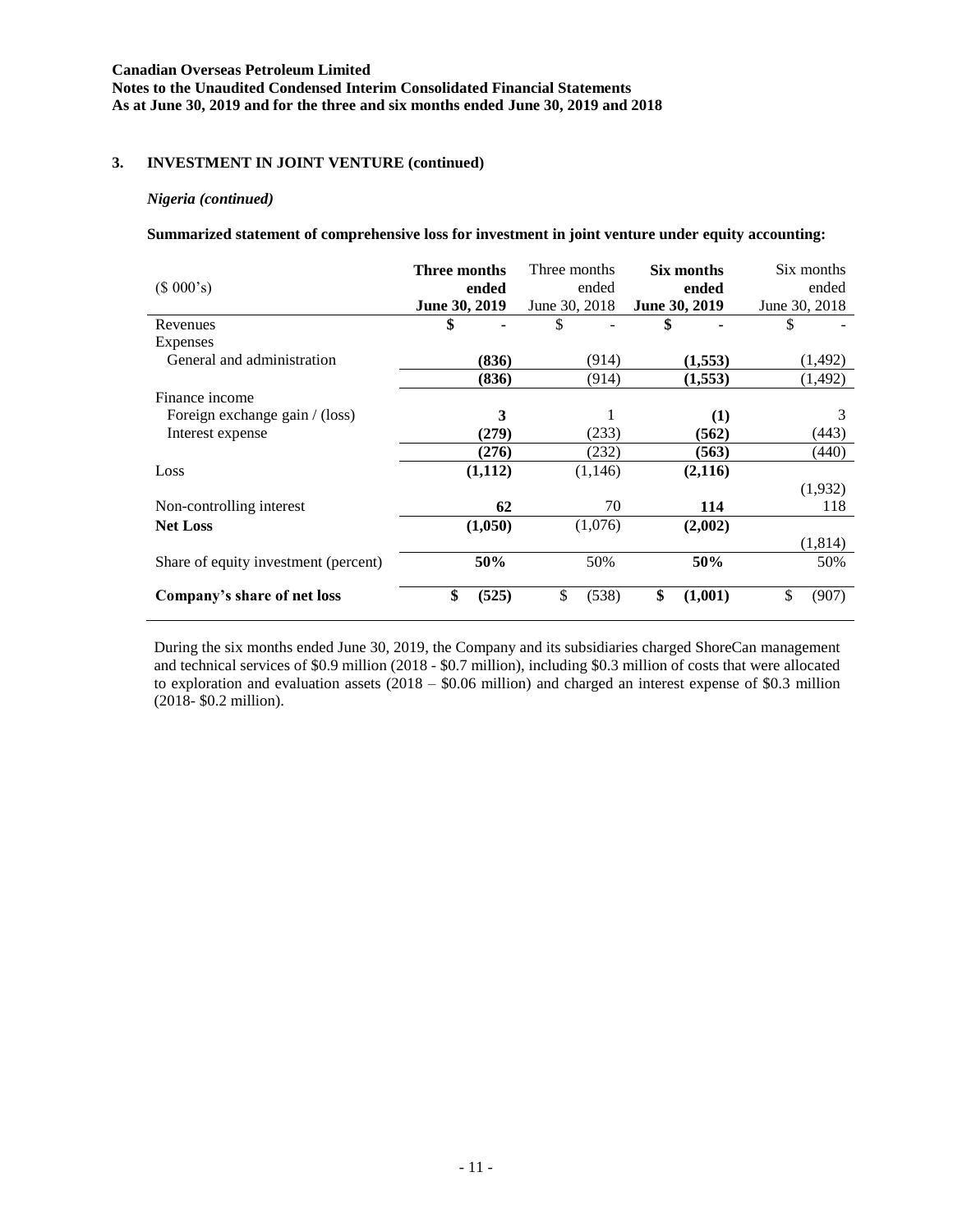**Notes to the Unaudited Condensed Interim Consolidated Financial Statements As at June 30, 2019 and for the three and six months ended June 30, 2019 and 2018**

## **3. INVESTMENT IN JOINT VENTURE (continued)**

#### *Nigeria (continued)*

**Summarized statement of comprehensive loss for investment in joint venture under equity accounting:**

| (\$000's)                            | Three months<br>ended<br><b>June 30, 2019</b> | Three months<br>ended<br>June 30, 2018 | Six months<br>ended<br><b>June 30, 2019</b> | Six months<br>ended<br>June 30, 2018 |
|--------------------------------------|-----------------------------------------------|----------------------------------------|---------------------------------------------|--------------------------------------|
| Revenues                             | \$                                            | \$                                     |                                             | S                                    |
| Expenses                             |                                               |                                        |                                             |                                      |
| General and administration           | (836)                                         | (914)                                  | (1,553)                                     | (1,492)                              |
|                                      | (836)                                         | (914)                                  | (1,553)                                     | (1,492)                              |
| Finance income                       |                                               |                                        |                                             |                                      |
| Foreign exchange gain / (loss)       | 3                                             |                                        | (1)                                         | 3                                    |
| Interest expense                     | (279)                                         | (233)                                  | (562)                                       | (443)                                |
|                                      | (276)                                         | (232)                                  | (563)                                       | (440)                                |
| Loss                                 | (1,112)                                       | (1,146)                                | (2,116)                                     |                                      |
|                                      |                                               |                                        |                                             | (1,932)                              |
| Non-controlling interest             | 62                                            | 70                                     | 114                                         | 118                                  |
| <b>Net Loss</b>                      | (1,050)                                       | (1,076)                                | (2,002)                                     |                                      |
|                                      |                                               |                                        |                                             | (1,814)                              |
| Share of equity investment (percent) | 50%                                           | 50%                                    | 50%                                         | 50%                                  |
| Company's share of net loss          | \$<br>(525)                                   | \$<br>(538)                            | \$<br>(1,001)                               | \$<br>(907)                          |

During the six months ended June 30, 2019, the Company and its subsidiaries charged ShoreCan management and technical services of \$0.9 million (2018 - \$0.7 million), including \$0.3 million of costs that were allocated to exploration and evaluation assets (2018 – \$0.06 million) and charged an interest expense of \$0.3 million (2018- \$0.2 million).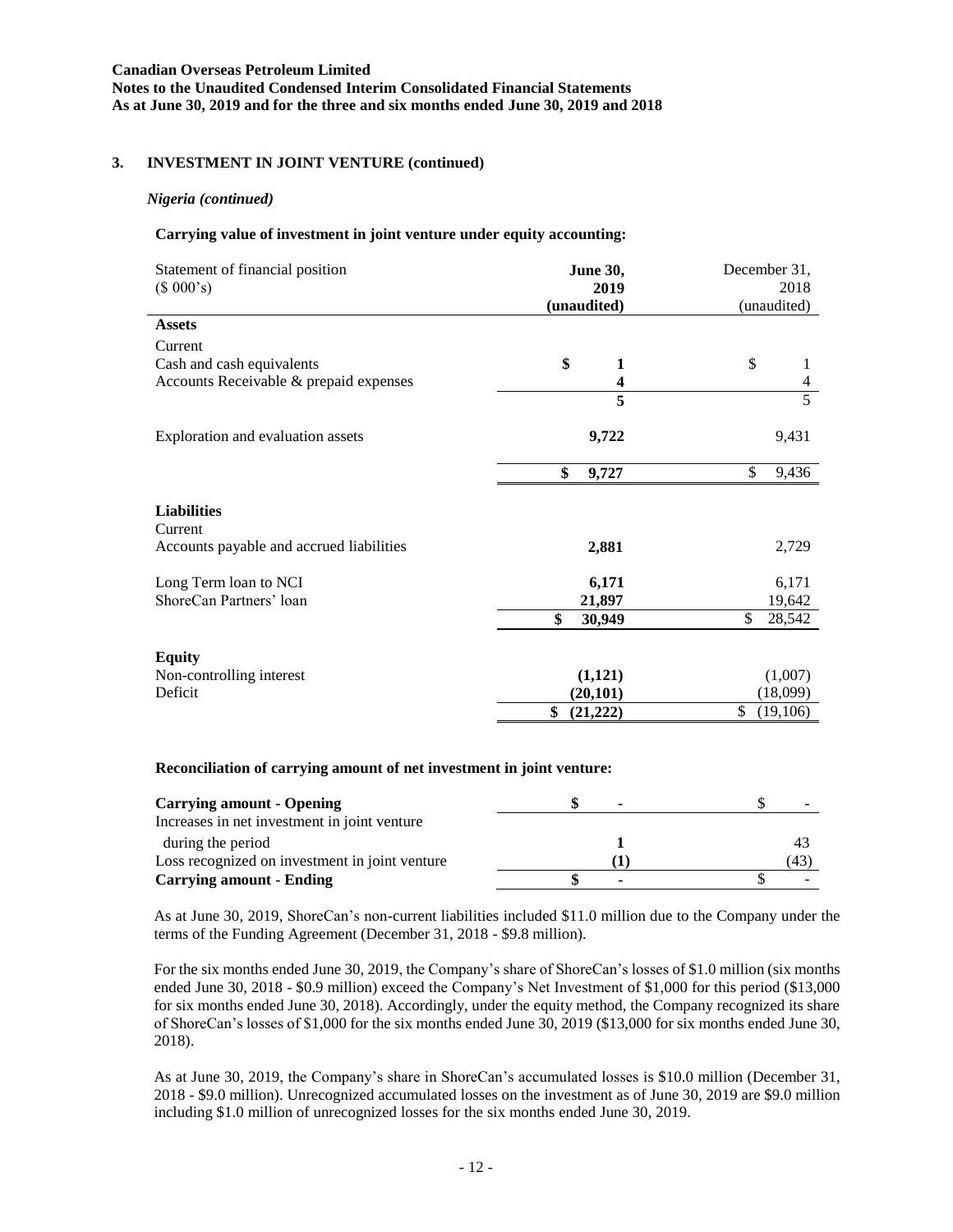**Notes to the Unaudited Condensed Interim Consolidated Financial Statements As at June 30, 2019 and for the three and six months ended June 30, 2019 and 2018**

### **3. INVESTMENT IN JOINT VENTURE (continued)**

#### *Nigeria (continued)*

#### **Carrying value of investment in joint venture under equity accounting:**

| Statement of financial position<br>(\$000's) | <b>June 30,</b><br>2019<br>(unaudited) | December 31,<br>2018<br>(unaudited) |
|----------------------------------------------|----------------------------------------|-------------------------------------|
| <b>Assets</b>                                |                                        |                                     |
| Current                                      |                                        |                                     |
| Cash and cash equivalents                    | \$<br>1                                | \$                                  |
| Accounts Receivable & prepaid expenses       | 4                                      | $\overline{4}$                      |
|                                              | 5                                      | $\overline{5}$                      |
| Exploration and evaluation assets            | 9,722                                  | 9,431                               |
|                                              | \$<br>9,727                            | \$<br>9,436                         |
| <b>Liabilities</b><br>Current                |                                        |                                     |
| Accounts payable and accrued liabilities     | 2,881                                  | 2,729                               |
| Long Term loan to NCI                        | 6,171                                  | 6,171                               |
| ShoreCan Partners' loan                      | 21,897                                 | 19,642                              |
|                                              | \$<br>30,949                           | \$<br>28,542                        |
| <b>Equity</b>                                |                                        |                                     |
| Non-controlling interest                     | (1,121)                                | (1,007)                             |
| Deficit                                      | (20, 101)                              | (18,099)                            |
|                                              | \$<br>(21, 222)                        | \$<br>(19,106)                      |

#### **Reconciliation of carrying amount of net investment in joint venture:**

| <b>Carrying amount - Opening</b>               | $\overline{\phantom{a}}$ |     |
|------------------------------------------------|--------------------------|-----|
| Increases in net investment in joint venture   |                          |     |
| during the period                              |                          | 43  |
| Loss recognized on investment in joint venture |                          | (43 |
| <b>Carrying amount - Ending</b>                | ٠                        |     |

As at June 30, 2019, ShoreCan's non-current liabilities included \$11.0 million due to the Company under the terms of the Funding Agreement (December 31, 2018 - \$9.8 million).

For the six months ended June 30, 2019, the Company's share of ShoreCan's losses of \$1.0 million (six months ended June 30, 2018 - \$0.9 million) exceed the Company's Net Investment of \$1,000 for this period (\$13,000 for six months ended June 30, 2018). Accordingly, under the equity method, the Company recognized its share of ShoreCan's losses of \$1,000 for the six months ended June 30, 2019 (\$13,000 for six months ended June 30, 2018).

As at June 30, 2019, the Company's share in ShoreCan's accumulated losses is \$10.0 million (December 31, 2018 - \$9.0 million). Unrecognized accumulated losses on the investment as of June 30, 2019 are \$9.0 million including \$1.0 million of unrecognized losses for the six months ended June 30, 2019.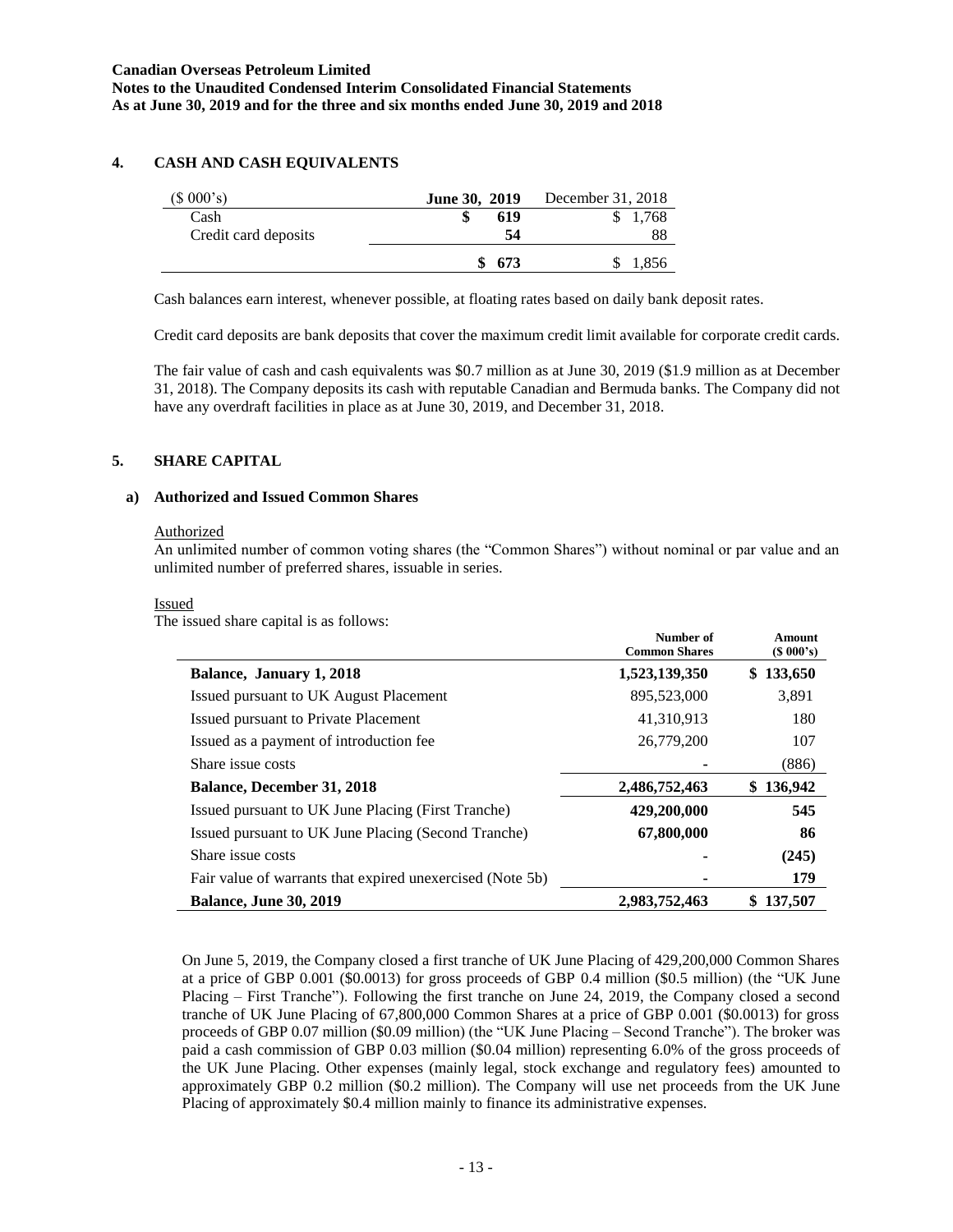# **4. CASH AND CASH EQUIVALENTS**

| $(S\ 000's)$         | June 30, 2019 | December 31, 2018 |
|----------------------|---------------|-------------------|
| Cash                 | 619           | 1,768             |
| Credit card deposits | 54            | 88                |
|                      | 673           | 1,856             |

Cash balances earn interest, whenever possible, at floating rates based on daily bank deposit rates.

Credit card deposits are bank deposits that cover the maximum credit limit available for corporate credit cards.

The fair value of cash and cash equivalents was \$0.7 million as at June 30, 2019 (\$1.9 million as at December 31, 2018). The Company deposits its cash with reputable Canadian and Bermuda banks. The Company did not have any overdraft facilities in place as at June 30, 2019, and December 31, 2018.

### **5. SHARE CAPITAL**

### **a) Authorized and Issued Common Shares**

#### **Authorized**

An unlimited number of common voting shares (the "Common Shares") without nominal or par value and an unlimited number of preferred shares, issuable in series.

#### Issued

The issued share capital is as follows:

|                                                           | Number of<br><b>Common Shares</b> | Amount<br>(S 000's) |
|-----------------------------------------------------------|-----------------------------------|---------------------|
| Balance, January 1, 2018                                  | 1,523,139,350                     | \$133,650           |
| Issued pursuant to UK August Placement                    | 895,523,000                       | 3,891               |
| Issued pursuant to Private Placement                      | 41,310,913                        | 180                 |
| Issued as a payment of introduction fee.                  | 26,779,200                        | 107                 |
| Share issue costs                                         |                                   | (886)               |
| <b>Balance, December 31, 2018</b>                         | 2,486,752,463                     | \$136,942           |
| Issued pursuant to UK June Placing (First Tranche)        | 429,200,000                       | 545                 |
| Issued pursuant to UK June Placing (Second Tranche)       | 67,800,000                        | 86                  |
| Share issue costs                                         |                                   | (245)               |
| Fair value of warrants that expired unexercised (Note 5b) |                                   | 179                 |
| <b>Balance, June 30, 2019</b>                             | 2,983,752,463                     | 137,507             |

On June 5, 2019, the Company closed a first tranche of UK June Placing of 429,200,000 Common Shares at a price of GBP 0.001 (\$0.0013) for gross proceeds of GBP 0.4 million (\$0.5 million) (the "UK June Placing – First Tranche"). Following the first tranche on June 24, 2019, the Company closed a second tranche of UK June Placing of 67,800,000 Common Shares at a price of GBP 0.001 (\$0.0013) for gross proceeds of GBP 0.07 million (\$0.09 million) (the "UK June Placing – Second Tranche"). The broker was paid a cash commission of GBP 0.03 million (\$0.04 million) representing 6.0% of the gross proceeds of the UK June Placing. Other expenses (mainly legal, stock exchange and regulatory fees) amounted to approximately GBP 0.2 million (\$0.2 million). The Company will use net proceeds from the UK June Placing of approximately \$0.4 million mainly to finance its administrative expenses.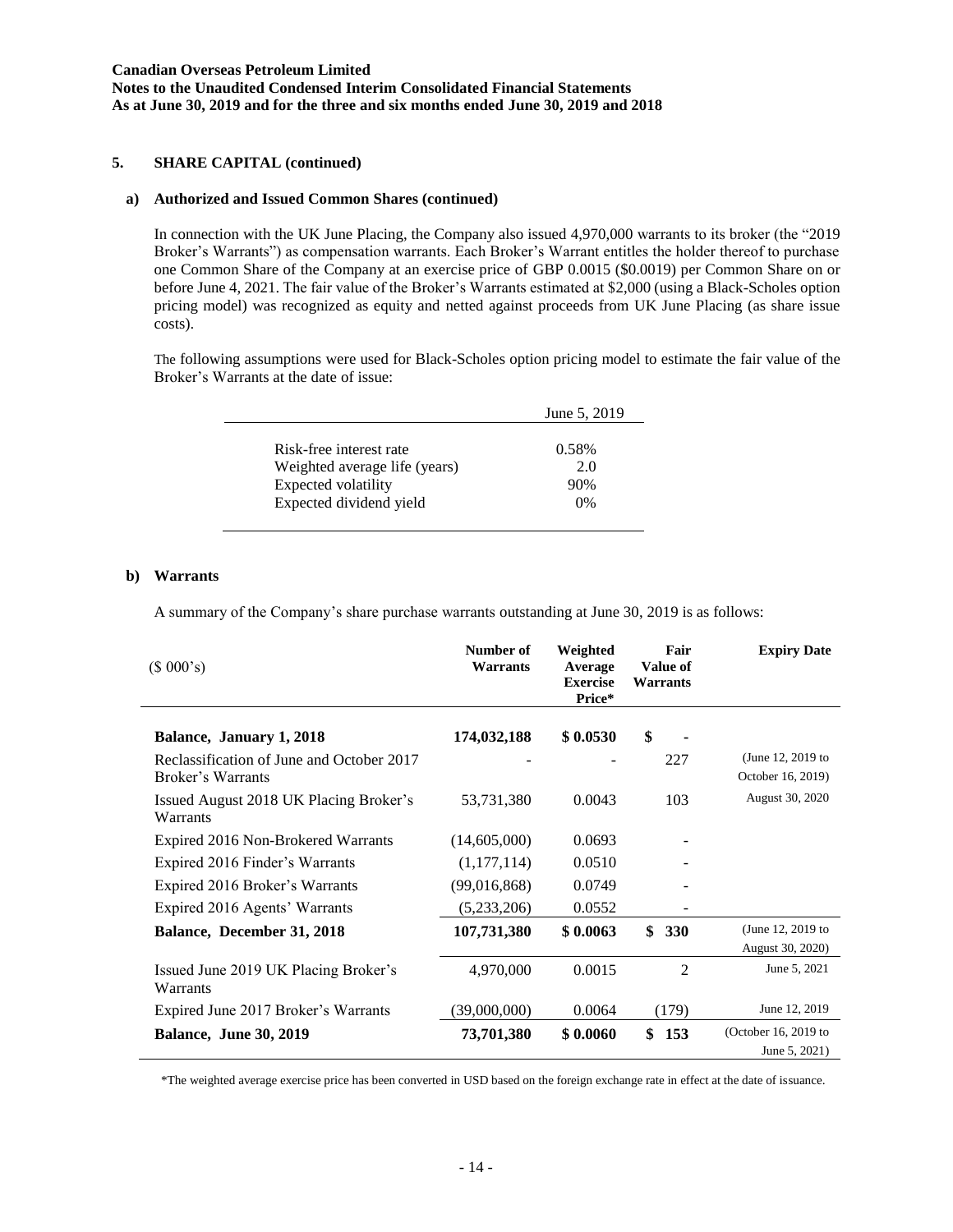**Notes to the Unaudited Condensed Interim Consolidated Financial Statements As at June 30, 2019 and for the three and six months ended June 30, 2019 and 2018**

# **5. SHARE CAPITAL (continued)**

#### **a) Authorized and Issued Common Shares (continued)**

In connection with the UK June Placing, the Company also issued 4,970,000 warrants to its broker (the "2019 Broker's Warrants") as compensation warrants. Each Broker's Warrant entitles the holder thereof to purchase one Common Share of the Company at an exercise price of GBP 0.0015 (\$0.0019) per Common Share on or before June 4, 2021. The fair value of the Broker's Warrants estimated at \$2,000 (using a Black-Scholes option pricing model) was recognized as equity and netted against proceeds from UK June Placing (as share issue costs).

The following assumptions were used for Black-Scholes option pricing model to estimate the fair value of the Broker's Warrants at the date of issue:

|                               | June 5, 2019 |
|-------------------------------|--------------|
|                               |              |
| Risk-free interest rate       | 0.58%        |
| Weighted average life (years) | 2.0          |
| Expected volatility           | 90%          |
| Expected dividend yield       | 0%           |

#### **b) Warrants**

A summary of the Company's share purchase warrants outstanding at June 30, 2019 is as follows:

| (\$000's)                                                      | Number of<br>Warrants | Weighted<br>Average<br><b>Exercise</b><br>Price* | Fair<br>Value of<br>Warrants | <b>Expiry Date</b>                     |
|----------------------------------------------------------------|-----------------------|--------------------------------------------------|------------------------------|----------------------------------------|
| Balance, January 1, 2018                                       | 174,032,188           | \$0.0530                                         | \$                           |                                        |
| Reclassification of June and October 2017<br>Broker's Warrants |                       |                                                  | 227                          | (June 12, 2019 to<br>October 16, 2019) |
| Issued August 2018 UK Placing Broker's<br>Warrants             | 53,731,380            | 0.0043                                           | 103                          | August 30, 2020                        |
| Expired 2016 Non-Brokered Warrants                             | (14,605,000)          | 0.0693                                           |                              |                                        |
| Expired 2016 Finder's Warrants                                 | (1,177,114)           | 0.0510                                           |                              |                                        |
| Expired 2016 Broker's Warrants                                 | (99,016,868)          | 0.0749                                           |                              |                                        |
| Expired 2016 Agents' Warrants                                  | (5,233,206)           | 0.0552                                           |                              |                                        |
| Balance, December 31, 2018                                     | 107,731,380           | \$0.0063                                         | \$<br><b>330</b>             | (June 12, 2019 to<br>August 30, 2020)  |
| Issued June 2019 UK Placing Broker's<br>Warrants               | 4,970,000             | 0.0015                                           | $\overline{2}$               | June 5, 2021                           |
| Expired June 2017 Broker's Warrants                            | (39,000,000)          | 0.0064                                           | (179)                        | June 12, 2019                          |
| <b>Balance, June 30, 2019</b>                                  | 73,701,380            | \$0.0060                                         | \$<br>153                    | (October 16, 2019 to<br>June 5, 2021)  |

\*The weighted average exercise price has been converted in USD based on the foreign exchange rate in effect at the date of issuance.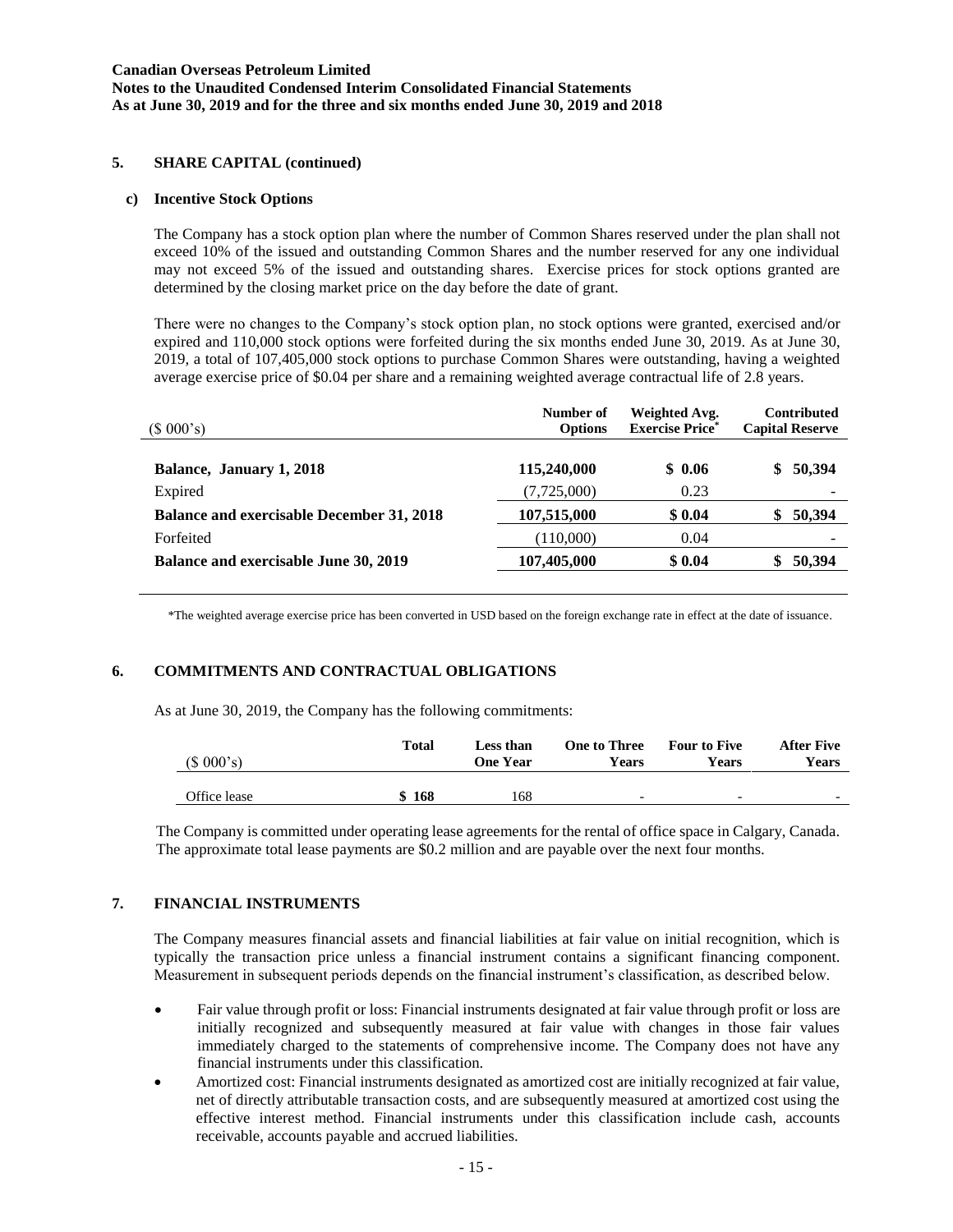#### **Canadian Overseas Petroleum Limited Notes to the Unaudited Condensed Interim Consolidated Financial Statements As at June 30, 2019 and for the three and six months ended June 30, 2019 and 2018**

### **5. SHARE CAPITAL (continued)**

#### **c) Incentive Stock Options**

The Company has a stock option plan where the number of Common Shares reserved under the plan shall not exceed 10% of the issued and outstanding Common Shares and the number reserved for any one individual may not exceed 5% of the issued and outstanding shares. Exercise prices for stock options granted are determined by the closing market price on the day before the date of grant.

There were no changes to the Company's stock option plan, no stock options were granted, exercised and/or expired and 110,000 stock options were forfeited during the six months ended June 30, 2019. As at June 30, 2019, a total of 107,405,000 stock options to purchase Common Shares were outstanding, having a weighted average exercise price of \$0.04 per share and a remaining weighted average contractual life of 2.8 years.

| (\$000's)                                        | Number of<br><b>Options</b> | Weighted Avg.<br><b>Exercise Price*</b> | <b>Contributed</b><br><b>Capital Reserve</b> |
|--------------------------------------------------|-----------------------------|-----------------------------------------|----------------------------------------------|
| Balance, January 1, 2018                         | 115,240,000                 | \$0.06                                  | \$50,394                                     |
| Expired                                          | (7,725,000)                 | 0.23                                    |                                              |
| <b>Balance and exercisable December 31, 2018</b> | 107,515,000                 | \$0.04                                  | 50,394<br>\$                                 |
| Forfeited                                        | (110,000)                   | 0.04                                    |                                              |
| Balance and exercisable June 30, 2019            | 107,405,000                 | \$0.04                                  | 50,394                                       |

\*The weighted average exercise price has been converted in USD based on the foreign exchange rate in effect at the date of issuance.

# **6. COMMITMENTS AND CONTRACTUAL OBLIGATIONS**

As at June 30, 2019, the Company has the following commitments:

| (\$000's)    | Total | Less than<br>One Year | <b>One to Three</b><br><b>Years</b> | <b>Four to Five</b><br>Years | <b>After Five</b><br>Years |
|--------------|-------|-----------------------|-------------------------------------|------------------------------|----------------------------|
| Office lease | 168   | 168                   | $\overline{\phantom{0}}$            | $\overline{\phantom{0}}$     | $\overline{\phantom{0}}$   |

The Company is committed under operating lease agreements for the rental of office space in Calgary, Canada. The approximate total lease payments are \$0.2 million and are payable over the next four months.

#### **7. FINANCIAL INSTRUMENTS**

The Company measures financial assets and financial liabilities at fair value on initial recognition, which is typically the transaction price unless a financial instrument contains a significant financing component. Measurement in subsequent periods depends on the financial instrument's classification, as described below.

- Fair value through profit or loss: Financial instruments designated at fair value through profit or loss are initially recognized and subsequently measured at fair value with changes in those fair values immediately charged to the statements of comprehensive income. The Company does not have any financial instruments under this classification.
- Amortized cost: Financial instruments designated as amortized cost are initially recognized at fair value, net of directly attributable transaction costs, and are subsequently measured at amortized cost using the effective interest method. Financial instruments under this classification include cash, accounts receivable, accounts payable and accrued liabilities.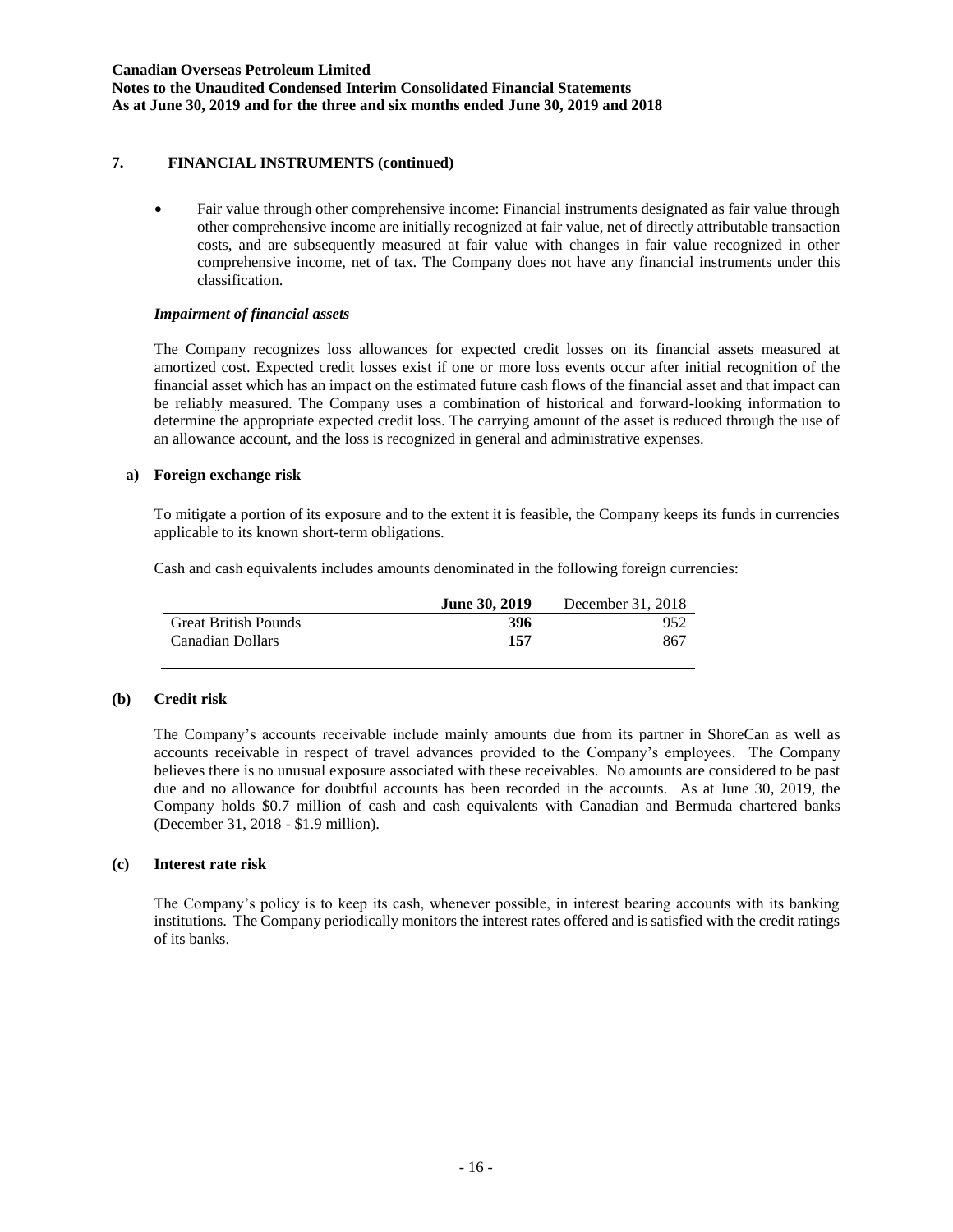# **7. FINANCIAL INSTRUMENTS (continued)**

• Fair value through other comprehensive income: Financial instruments designated as fair value through other comprehensive income are initially recognized at fair value, net of directly attributable transaction costs, and are subsequently measured at fair value with changes in fair value recognized in other comprehensive income, net of tax. The Company does not have any financial instruments under this classification.

### *Impairment of financial assets*

The Company recognizes loss allowances for expected credit losses on its financial assets measured at amortized cost. Expected credit losses exist if one or more loss events occur after initial recognition of the financial asset which has an impact on the estimated future cash flows of the financial asset and that impact can be reliably measured. The Company uses a combination of historical and forward-looking information to determine the appropriate expected credit loss. The carrying amount of the asset is reduced through the use of an allowance account, and the loss is recognized in general and administrative expenses.

### **a) Foreign exchange risk**

To mitigate a portion of its exposure and to the extent it is feasible, the Company keeps its funds in currencies applicable to its known short-term obligations.

Cash and cash equivalents includes amounts denominated in the following foreign currencies:

|                             | <b>June 30, 2019</b> | December 31, 2018 |
|-----------------------------|----------------------|-------------------|
| <b>Great British Pounds</b> | 396                  | 952               |
| Canadian Dollars            | 157                  | 867               |

### **(b) Credit risk**

The Company's accounts receivable include mainly amounts due from its partner in ShoreCan as well as accounts receivable in respect of travel advances provided to the Company's employees. The Company believes there is no unusual exposure associated with these receivables. No amounts are considered to be past due and no allowance for doubtful accounts has been recorded in the accounts. As at June 30, 2019, the Company holds \$0.7 million of cash and cash equivalents with Canadian and Bermuda chartered banks (December 31, 2018 - \$1.9 million).

#### **(c) Interest rate risk**

The Company's policy is to keep its cash, whenever possible, in interest bearing accounts with its banking institutions. The Company periodically monitors the interest rates offered and is satisfied with the credit ratings of its banks.